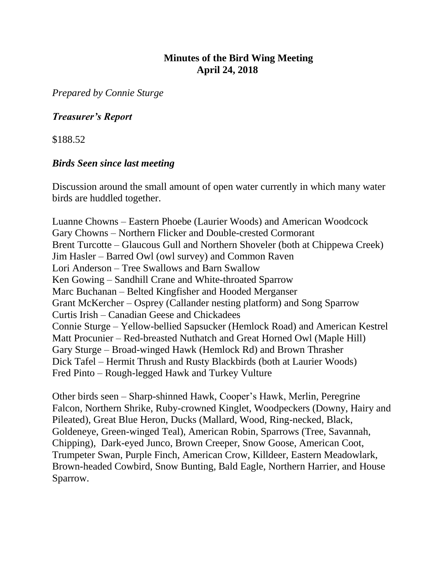## **Minutes of the Bird Wing Meeting April 24, 2018**

*Prepared by Connie Sturge*

## *Treasurer's Report*

\$188.52

### *Birds Seen since last meeting*

Discussion around the small amount of open water currently in which many water birds are huddled together.

Luanne Chowns – Eastern Phoebe (Laurier Woods) and American Woodcock Gary Chowns – Northern Flicker and Double-crested Cormorant Brent Turcotte – Glaucous Gull and Northern Shoveler (both at Chippewa Creek) Jim Hasler – Barred Owl (owl survey) and Common Raven Lori Anderson – Tree Swallows and Barn Swallow Ken Gowing – Sandhill Crane and White-throated Sparrow Marc Buchanan – Belted Kingfisher and Hooded Merganser Grant McKercher – Osprey (Callander nesting platform) and Song Sparrow Curtis Irish – Canadian Geese and Chickadees Connie Sturge – Yellow-bellied Sapsucker (Hemlock Road) and American Kestrel Matt Procunier – Red-breasted Nuthatch and Great Horned Owl (Maple Hill) Gary Sturge – Broad-winged Hawk (Hemlock Rd) and Brown Thrasher Dick Tafel – Hermit Thrush and Rusty Blackbirds (both at Laurier Woods) Fred Pinto – Rough-legged Hawk and Turkey Vulture

Other birds seen – Sharp-shinned Hawk, Cooper's Hawk, Merlin, Peregrine Falcon, Northern Shrike, Ruby-crowned Kinglet, Woodpeckers (Downy, Hairy and Pileated), Great Blue Heron, Ducks (Mallard, Wood, Ring-necked, Black, Goldeneye, Green-winged Teal), American Robin, Sparrows (Tree, Savannah, Chipping), Dark-eyed Junco, Brown Creeper, Snow Goose, American Coot, Trumpeter Swan, Purple Finch, American Crow, Killdeer, Eastern Meadowlark, Brown-headed Cowbird, Snow Bunting, Bald Eagle, Northern Harrier, and House Sparrow.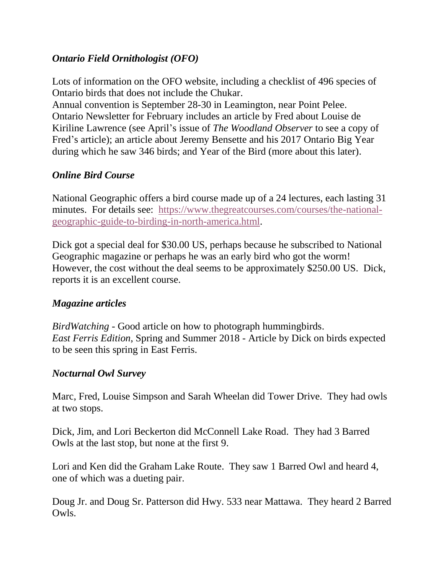## *Ontario Field Ornithologist (OFO)*

Lots of information on the OFO website, including a checklist of 496 species of Ontario birds that does not include the Chukar.

Annual convention is September 28-30 in Leamington, near Point Pelee. Ontario Newsletter for February includes an article by Fred about Louise de Kiriline Lawrence (see April's issue of *The Woodland Observer* to see a copy of Fred's article); an article about Jeremy Bensette and his 2017 Ontario Big Year during which he saw 346 birds; and Year of the Bird (more about this later).

## *Online Bird Course*

National Geographic offers a bird course made up of a 24 lectures, each lasting 31 minutes. For details see: [https://www.thegreatcourses.com/courses/the-national](https://www.thegreatcourses.com/courses/the-national-geographic-guide-to-birding-in-north-america.html)[geographic-guide-to-birding-in-north-america.html.](https://www.thegreatcourses.com/courses/the-national-geographic-guide-to-birding-in-north-america.html)

Dick got a special deal for \$30.00 US, perhaps because he subscribed to National Geographic magazine or perhaps he was an early bird who got the worm! However, the cost without the deal seems to be approximately \$250.00 US. Dick, reports it is an excellent course.

#### *Magazine articles*

*BirdWatching* - Good article on how to photograph hummingbirds. *East Ferris Edition*, Spring and Summer 2018 - Article by Dick on birds expected to be seen this spring in East Ferris.

#### *Nocturnal Owl Survey*

Marc, Fred, Louise Simpson and Sarah Wheelan did Tower Drive. They had owls at two stops.

Dick, Jim, and Lori Beckerton did McConnell Lake Road. They had 3 Barred Owls at the last stop, but none at the first 9.

Lori and Ken did the Graham Lake Route. They saw 1 Barred Owl and heard 4, one of which was a dueting pair.

Doug Jr. and Doug Sr. Patterson did Hwy. 533 near Mattawa. They heard 2 Barred Owls.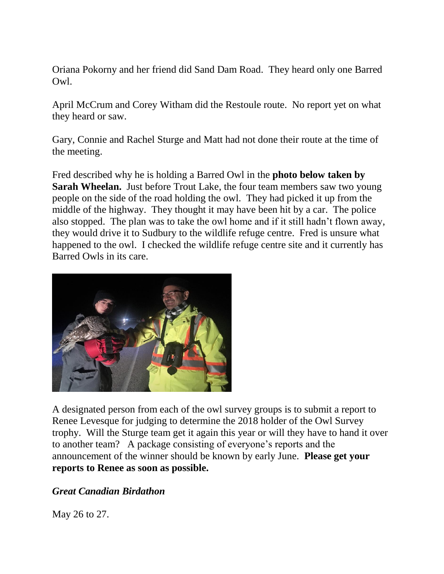Oriana Pokorny and her friend did Sand Dam Road. They heard only one Barred Owl.

April McCrum and Corey Witham did the Restoule route. No report yet on what they heard or saw.

Gary, Connie and Rachel Sturge and Matt had not done their route at the time of the meeting.

Fred described why he is holding a Barred Owl in the **photo below taken by Sarah Wheelan.** Just before Trout Lake, the four team members saw two young people on the side of the road holding the owl. They had picked it up from the middle of the highway. They thought it may have been hit by a car. The police also stopped. The plan was to take the owl home and if it still hadn't flown away, they would drive it to Sudbury to the wildlife refuge centre. Fred is unsure what happened to the owl. I checked the wildlife refuge centre site and it currently has Barred Owls in its care.



A designated person from each of the owl survey groups is to submit a report to Renee Levesque for judging to determine the 2018 holder of the Owl Survey trophy. Will the Sturge team get it again this year or will they have to hand it over to another team? A package consisting of everyone's reports and the announcement of the winner should be known by early June. **Please get your reports to Renee as soon as possible.** 

## *Great Canadian Birdathon*

May 26 to 27.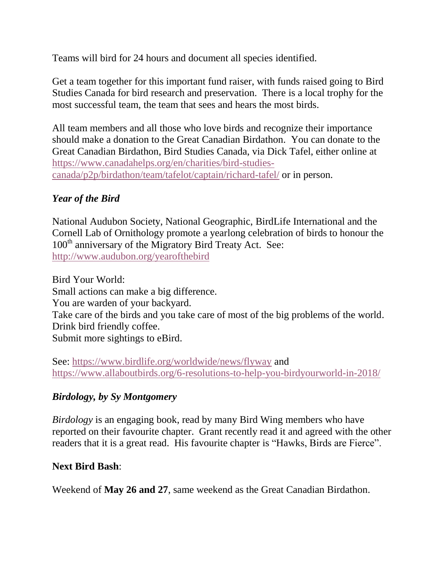Teams will bird for 24 hours and document all species identified.

Get a team together for this important fund raiser, with funds raised going to Bird Studies Canada for bird research and preservation. There is a local trophy for the most successful team, the team that sees and hears the most birds.

All team members and all those who love birds and recognize their importance should make a donation to the Great Canadian Birdathon. You can donate to the Great Canadian Birdathon, Bird Studies Canada, via Dick Tafel, either online at [https://www.canadahelps.org/en/charities/bird-studies](https://www.canadahelps.org/en/charities/bird-studies-canada/p2p/birdathon/team/tafelot/captain/richard-tafel/)[canada/p2p/birdathon/team/tafelot/captain/richard-tafel/](https://www.canadahelps.org/en/charities/bird-studies-canada/p2p/birdathon/team/tafelot/captain/richard-tafel/) or in person.

# *Year of the Bird*

National Audubon Society, National Geographic, BirdLife International and the Cornell Lab of Ornithology promote a yearlong celebration of birds to honour the 100<sup>th</sup> anniversary of the Migratory Bird Treaty Act. See: <http://www.audubon.org/yearofthebird>

Bird Your World: Small actions can make a big difference. You are warden of your backyard. Take care of the birds and you take care of most of the big problems of the world. Drink bird friendly coffee. Submit more sightings to eBird.

See:<https://www.birdlife.org/worldwide/news/flyway> and <https://www.allaboutbirds.org/6-resolutions-to-help-you-birdyourworld-in-2018/>

# *Birdology, by Sy Montgomery*

*Birdology* is an engaging book, read by many Bird Wing members who have reported on their favourite chapter. Grant recently read it and agreed with the other readers that it is a great read. His favourite chapter is "Hawks, Birds are Fierce".

# **Next Bird Bash**:

Weekend of **May 26 and 27**, same weekend as the Great Canadian Birdathon.